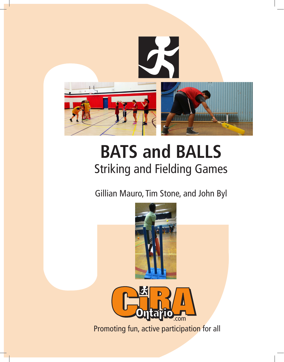

# **BATS and BALLS** Striking and Fielding Games

Gillian Mauro, Tim Stone, and John Byl



Promoting fun, active participation for all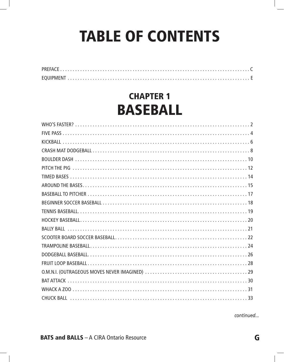# TABLE OF CONTENTS

# CHAPTER 1 BASEBALL

*continued...*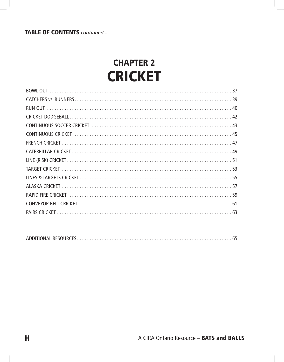# CHAPTER 2 **CRICKET**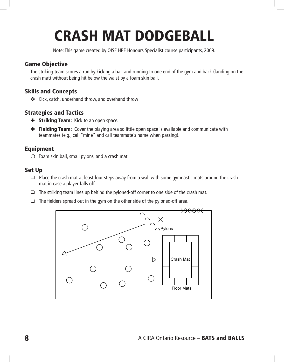# CRASH MAT DODGEBALL

Note: This game created by OISE HPE Honours Specialist course participants, 2009.

## Game Objective

The striking team scores a run by kicking a ball and running to one end of the gym and back (landing on the crash mat) without being hit below the waist by a foam skin ball.

## Skills and Concepts

✜ Kick, catch, underhand throw, and overhand throw

# Strategies and Tactics

- **+ Striking Team:** Kick to an open space.
- $\div$  **Fielding Team:** Cover the playing area so little open space is available and communicate with teammates (e.g., call "mine" and call teammate's name when passing).

# Equipment

 $\bigcirc$  Foam skin ball, small pylons, and a crash mat

### Set Up

- $\Box$  Place the crash mat at least four steps away from a wall with some gymnastic mats around the crash mat in case a player falls off.
- $\Box$  The striking team lines up behind the pyloned-off corner to one side of the crash mat.
- $\Box$  The fielders spread out in the gym on the other side of the pyloned-off area.

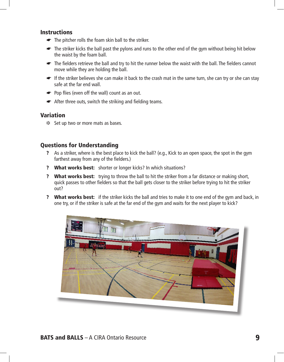#### **Instructions**

- ☛ The pitcher rolls the foam skin ball to the striker.
- ☛ The striker kicks the ball past the pylons and runs to the other end of the gym without being hit below the waist by the foam ball.
- ☛ The fielders retrieve the ball and try to hit the runner below the waist with the ball. The fielders cannot move while they are holding the ball.
- If the striker believes she can make it back to the crash mat in the same turn, she can try or she can stay safe at the far end wall.
- ☛ Pop flies (even off the wall) count as an out.
- ☛ After three outs, switch the striking and fielding teams.

#### Variation

❉ Set up two or more mats as bases.

#### Questions for Understanding

- ? As a striker, where is the best place to kick the ball? (e.g., Kick to an open space, the spot in the gym farthest away from any of the fielders.)
- ? What works best: shorter or longer kicks? In which situations?
- ? What works best: trying to throw the ball to hit the striker from a far distance or making short, quick passes to other fielders so that the ball gets closer to the striker before trying to hit the striker out?
- ? What works best: if the striker kicks the ball and tries to make it to one end of the gym and back, in one try, or if the striker is safe at the far end of the gym and waits for the next player to kick?